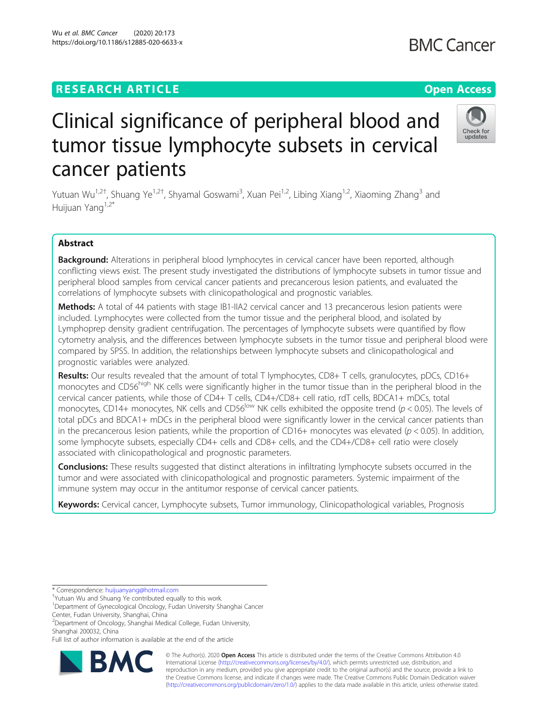## **RESEARCH ARTICLE Example 2014 12:30 The Contract of Contract ACCESS**

# Clinical significance of peripheral blood and tumor tissue lymphocyte subsets in cervical cancer patients

Yutuan Wu<sup>1,2†</sup>, Shuang Ye<sup>1,2†</sup>, Shyamal Goswami<sup>3</sup>, Xuan Pei<sup>1,2</sup>, Libing Xiang<sup>1,2</sup>, Xiaoming Zhang<sup>3</sup> and Huijuan Yang<sup>1,2\*</sup>

## Abstract

Background: Alterations in peripheral blood lymphocytes in cervical cancer have been reported, although conflicting views exist. The present study investigated the distributions of lymphocyte subsets in tumor tissue and peripheral blood samples from cervical cancer patients and precancerous lesion patients, and evaluated the correlations of lymphocyte subsets with clinicopathological and prognostic variables.

Methods: A total of 44 patients with stage IB1-IIA2 cervical cancer and 13 precancerous lesion patients were included. Lymphocytes were collected from the tumor tissue and the peripheral blood, and isolated by Lymphoprep density gradient centrifugation. The percentages of lymphocyte subsets were quantified by flow cytometry analysis, and the differences between lymphocyte subsets in the tumor tissue and peripheral blood were compared by SPSS. In addition, the relationships between lymphocyte subsets and clinicopathological and prognostic variables were analyzed.

Results: Our results revealed that the amount of total T lymphocytes, CD8+ T cells, granulocytes, pDCs, CD16+ monocytes and CD56<sup>high</sup> NK cells were significantly higher in the tumor tissue than in the peripheral blood in the cervical cancer patients, while those of CD4+ T cells, CD4+/CD8+ cell ratio, rdT cells, BDCA1+ mDCs, total monocytes, CD14+ monocytes, NK cells and CD56<sup>low</sup> NK cells exhibited the opposite trend ( $p < 0.05$ ). The levels of total pDCs and BDCA1+ mDCs in the peripheral blood were significantly lower in the cervical cancer patients than in the precancerous lesion patients, while the proportion of CD16+ monocytes was elevated ( $p < 0.05$ ). In addition, some lymphocyte subsets, especially CD4+ cells and CD8+ cells, and the CD4+/CD8+ cell ratio were closely associated with clinicopathological and prognostic parameters.

**Conclusions:** These results suggested that distinct alterations in infiltrating lymphocyte subsets occurred in the tumor and were associated with clinicopathological and prognostic parameters. Systemic impairment of the immune system may occur in the antitumor response of cervical cancer patients.

Keywords: Cervical cancer, Lymphocyte subsets, Tumor immunology, Clinicopathological variables, Prognosis

\* Correspondence: [huijuanyang@hotmail.com](mailto:huijuanyang@hotmail.com) †

Yutuan Wu and Shuang Ye contributed equally to this work.

<sup>1</sup>Department of Gynecological Oncology, Fudan University Shanghai Cancer Center, Fudan University, Shanghai, China

2 Department of Oncology, Shanghai Medical College, Fudan University, Shanghai 200032, China

Full list of author information is available at the end of the article





© The Author(s). 2020 **Open Access** This article is distributed under the terms of the Creative Commons Attribution 4.0 International License [\(http://creativecommons.org/licenses/by/4.0/](http://creativecommons.org/licenses/by/4.0/)), which permits unrestricted use, distribution, and reproduction in any medium, provided you give appropriate credit to the original author(s) and the source, provide a link to the Creative Commons license, and indicate if changes were made. The Creative Commons Public Domain Dedication waiver [\(http://creativecommons.org/publicdomain/zero/1.0/](http://creativecommons.org/publicdomain/zero/1.0/)) applies to the data made available in this article, unless otherwise stated.



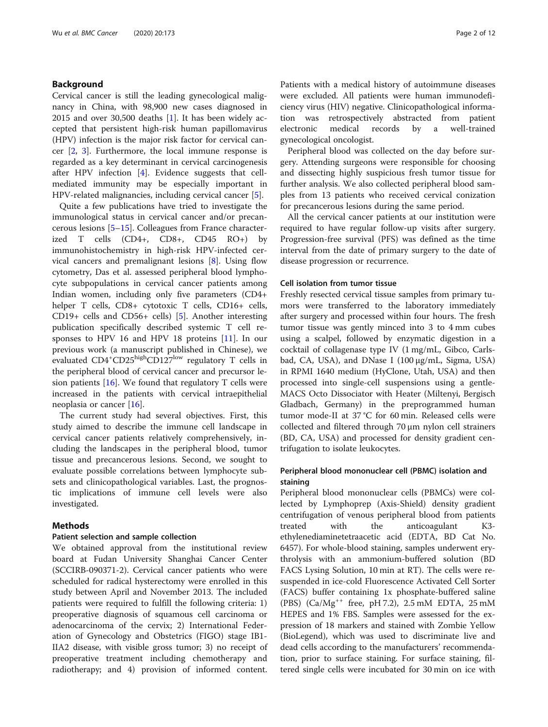## Background

Cervical cancer is still the leading gynecological malignancy in China, with 98,900 new cases diagnosed in 2015 and over 30,500 deaths  $[1]$  $[1]$ . It has been widely accepted that persistent high-risk human papillomavirus (HPV) infection is the major risk factor for cervical cancer [\[2](#page-11-0), [3\]](#page-11-0). Furthermore, the local immune response is regarded as a key determinant in cervical carcinogenesis after HPV infection [\[4](#page-11-0)]. Evidence suggests that cellmediated immunity may be especially important in HPV-related malignancies, including cervical cancer [\[5](#page-11-0)].

Quite a few publications have tried to investigate the immunological status in cervical cancer and/or precancerous lesions [\[5](#page-11-0)–[15\]](#page-11-0). Colleagues from France characterized T cells (CD4+, CD8+, CD45 RO+) by immunohistochemistry in high-risk HPV-infected cervical cancers and premalignant lesions [[8\]](#page-11-0). Using flow cytometry, Das et al. assessed peripheral blood lymphocyte subpopulations in cervical cancer patients among Indian women, including only five parameters (CD4+ helper T cells, CD8+ cytotoxic T cells, CD16+ cells, CD19+ cells and CD56+ cells) [\[5](#page-11-0)]. Another interesting publication specifically described systemic T cell responses to HPV 16 and HPV 18 proteins [[11](#page-11-0)]. In our previous work (a manuscript published in Chinese), we evaluated CD4<sup>+</sup>CD25<sup>high</sup>CD127<sup>low</sup> regulatory T cells in the peripheral blood of cervical cancer and precursor lesion patients  $[16]$  $[16]$ . We found that regulatory T cells were increased in the patients with cervical intraepithelial neoplasia or cancer [[16\]](#page-11-0).

The current study had several objectives. First, this study aimed to describe the immune cell landscape in cervical cancer patients relatively comprehensively, including the landscapes in the peripheral blood, tumor tissue and precancerous lesions. Second, we sought to evaluate possible correlations between lymphocyte subsets and clinicopathological variables. Last, the prognostic implications of immune cell levels were also investigated.

## Methods

## Patient selection and sample collection

We obtained approval from the institutional review board at Fudan University Shanghai Cancer Center (SCCIRB-090371-2). Cervical cancer patients who were scheduled for radical hysterectomy were enrolled in this study between April and November 2013. The included patients were required to fulfill the following criteria: 1) preoperative diagnosis of squamous cell carcinoma or adenocarcinoma of the cervix; 2) International Federation of Gynecology and Obstetrics (FIGO) stage IB1- IIA2 disease, with visible gross tumor; 3) no receipt of preoperative treatment including chemotherapy and radiotherapy; and 4) provision of informed content.

Patients with a medical history of autoimmune diseases were excluded. All patients were human immunodeficiency virus (HIV) negative. Clinicopathological information was retrospectively abstracted from patient electronic medical records by a well-trained gynecological oncologist.

Peripheral blood was collected on the day before surgery. Attending surgeons were responsible for choosing and dissecting highly suspicious fresh tumor tissue for further analysis. We also collected peripheral blood samples from 13 patients who received cervical conization for precancerous lesions during the same period.

All the cervical cancer patients at our institution were required to have regular follow-up visits after surgery. Progression-free survival (PFS) was defined as the time interval from the date of primary surgery to the date of disease progression or recurrence.

## Cell isolation from tumor tissue

Freshly resected cervical tissue samples from primary tumors were transferred to the laboratory immediately after surgery and processed within four hours. The fresh tumor tissue was gently minced into 3 to 4 mm cubes using a scalpel, followed by enzymatic digestion in a cocktail of collagenase type IV (1 mg/mL, Gibco, Carlsbad, CA, USA), and DNase I (100 μg/mL, Sigma, USA) in RPMI 1640 medium (HyClone, Utah, USA) and then processed into single-cell suspensions using a gentle-MACS Octo Dissociator with Heater (Miltenyi, Bergisch Gladbach, Germany) in the preprogrammed human tumor mode-II at 37 °C for 60 min. Released cells were collected and filtered through 70 μm nylon cell strainers (BD, CA, USA) and processed for density gradient centrifugation to isolate leukocytes.

## Peripheral blood mononuclear cell (PBMC) isolation and staining

Peripheral blood mononuclear cells (PBMCs) were collected by Lymphoprep (Axis-Shield) density gradient centrifugation of venous peripheral blood from patients treated with the anticoagulant K3 ethylenediaminetetraacetic acid (EDTA, BD Cat No. 6457). For whole-blood staining, samples underwent erythrolysis with an ammonium-buffered solution (BD FACS Lysing Solution, 10 min at RT). The cells were resuspended in ice-cold Fluorescence Activated Cell Sorter (FACS) buffer containing 1x phosphate-buffered saline (PBS) (Ca/Mg++ free, pH 7.2), 2.5 mM EDTA, 25 mM HEPES and 1% FBS. Samples were assessed for the expression of 18 markers and stained with Zombie Yellow (BioLegend), which was used to discriminate live and dead cells according to the manufacturers' recommendation, prior to surface staining. For surface staining, filtered single cells were incubated for 30 min on ice with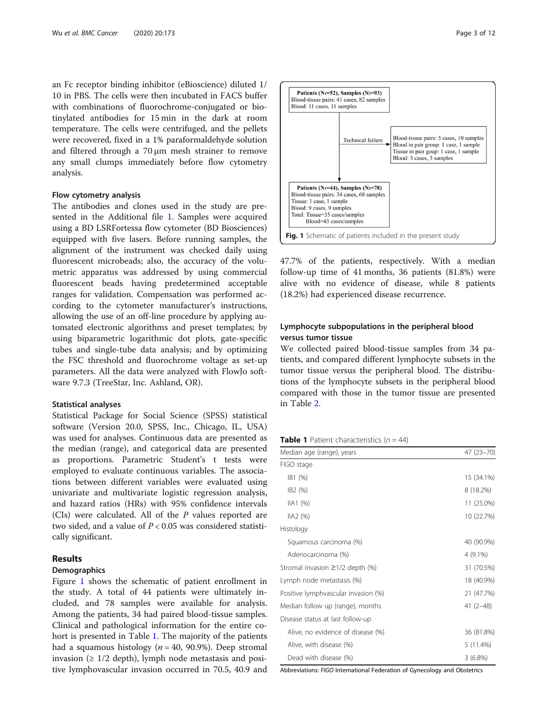an Fc receptor binding inhibitor (eBioscience) diluted 1/ 10 in PBS. The cells were then incubated in FACS buffer with combinations of fluorochrome-conjugated or biotinylated antibodies for 15 min in the dark at room temperature. The cells were centrifuged, and the pellets were recovered, fixed in a 1% paraformaldehyde solution and filtered through a 70 μm mesh strainer to remove any small clumps immediately before flow cytometry analysis.

## Flow cytometry analysis

The antibodies and clones used in the study are presented in the Additional file [1.](#page-10-0) Samples were acquired using a BD LSRFortessa flow cytometer (BD Biosciences) equipped with five lasers. Before running samples, the alignment of the instrument was checked daily using fluorescent microbeads; also, the accuracy of the volumetric apparatus was addressed by using commercial fluorescent beads having predetermined acceptable ranges for validation. Compensation was performed according to the cytometer manufacturer's instructions, allowing the use of an off-line procedure by applying automated electronic algorithms and preset templates; by using biparametric logarithmic dot plots, gate-specific tubes and single-tube data analysis; and by optimizing the FSC threshold and fluorochrome voltage as set-up parameters. All the data were analyzed with FlowJo software 9.7.3 (TreeStar, Inc. Ashland, OR).

#### Statistical analyses

Statistical Package for Social Science (SPSS) statistical software (Version 20.0, SPSS, Inc., Chicago, IL, USA) was used for analyses. Continuous data are presented as the median (range), and categorical data are presented proportions. Parametric Student's t tests were employed to evaluate continuous variables. The associations between different variables were evaluated using univariate and multivariate logistic regression analysis, and hazard ratios (HRs) with 95% confidence intervals (CIs) were calculated. All of the  $P$  values reported are two sided, and a value of  $P < 0.05$  was considered statistically significant.

#### Results

## Demographics

Figure 1 shows the schematic of patient enrollment in the study. A total of 44 patients were ultimately included, and 78 samples were available for analysis. Among the patients, 34 had paired blood-tissue samples. Clinical and pathological information for the entire cohort is presented in Table 1. The majority of the patients had a squamous histology ( $n = 40$ , 90.9%). Deep stromal invasion ( $\geq 1/2$  depth), lymph node metastasis and positive lymphovascular invasion occurred in 70.5, 40.9 and



47.7% of the patients, respectively. With a median follow-up time of 41 months, 36 patients (81.8%) were alive with no evidence of disease, while 8 patients (18.2%) had experienced disease recurrence.

## Lymphocyte subpopulations in the peripheral blood versus tumor tissue

We collected paired blood-tissue samples from 34 patients, and compared different lymphocyte subsets in the tumor tissue versus the peripheral blood. The distributions of the lymphocyte subsets in the peripheral blood compared with those in the tumor tissue are presented in Table [2.](#page-3-0)

**Table 1** Patient characteristics  $(n = 44)$ 

| Median age (range), years             | 47 (23-70) |
|---------------------------------------|------------|
| FIGO stage                            |            |
| IB1 (%)                               | 15 (34.1%) |
| IB <sub>2</sub> (%)                   | 8 (18.2%)  |
| IIA1 (%)                              | 11 (25.0%) |
| IIA2(%)                               | 10 (22.7%) |
| Histology                             |            |
| Squamous carcinoma (%)                | 40 (90.9%) |
| Adenocarcinoma (%)                    | $4(9.1\%)$ |
| Stromal invasion $\geq$ 1/2 depth (%) | 31 (70.5%) |
| Lymph node metastasis (%)             | 18 (40.9%) |
| Positive lymphvascular invasion (%)   | 21 (47.7%) |
| Median follow up (range), months      | $41(2-48)$ |
| Disease status at last follow-up      |            |
| Alive, no evidence of disease (%)     | 36 (81.8%) |
| Alive, with disease (%)               | 5 (11.4%)  |
| Dead with disease (%)                 | 3(6.8%)    |

Abbreviations: FIGO International Federation of Gynecology and Obstetrics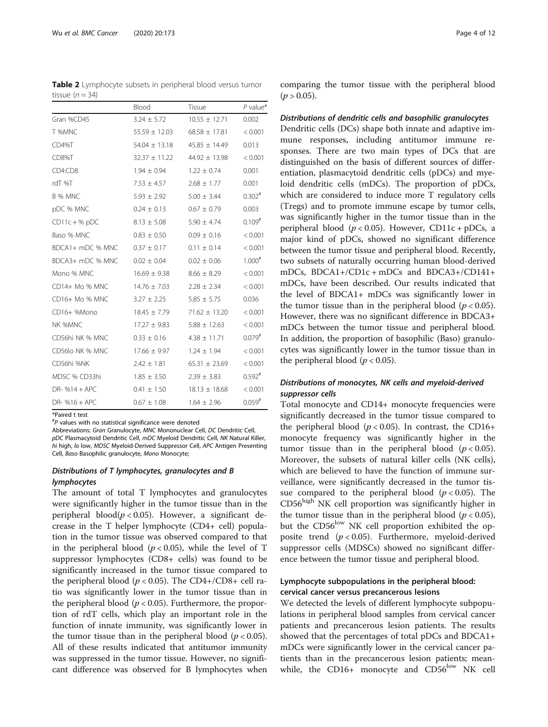<span id="page-3-0"></span>Table 2 Lymphocyte subsets in peripheral blood versus tumor tissue  $(n = 34)$ 

|                  | Blood             | Tissue            | $P$ value*           |
|------------------|-------------------|-------------------|----------------------|
| Gran %CD45       | $3.24 \pm 5.72$   | $10.55 \pm 12.71$ | 0.002                |
| T %MNC           | $55.59 \pm 12.03$ | $68.58 \pm 17.81$ | < 0.001              |
| CD4%T            | $54.04 \pm 13.18$ | $45.85 \pm 14.49$ | 0.013                |
| CD8%T            | $32.37 \pm 11.22$ | $44.92 \pm 13.98$ | < 0.001              |
| CD4:CD8          | $1.94 \pm 0.94$   | $1.22 \pm 0.74$   | 0.001                |
| rdT %T           | $7.53 \pm 4.57$   | $2.68 \pm 1.77$   | 0.001                |
| B % MNC          | $5.93 \pm 2.92$   | $5.00 \pm 3.44$   | $0.302$ <sup>#</sup> |
| pDC % MNC        | $0.24 \pm 0.13$   | $0.67 \pm 0.79$   | 0.003                |
| $CD11c + %pDC$   | $8.13 \pm 5.08$   | $5.90 \pm 4.74$   | $0.109$ <sup>#</sup> |
| Baso % MNC       | $0.83 \pm 0.50$   | $0.09 \pm 0.16$   | < 0.001              |
| BDCA1+ mDC % MNC | $0.37 \pm 0.17$   | $0.11 \pm 0.14$   | < 0.001              |
| BDCA3+ mDC % MNC | $0.02 \pm 0.04$   | $0.02 \pm 0.06$   | $1.000^{#}$          |
| Mono % MNC       | $16.69 \pm 9.38$  | $8.66 \pm 8.29$   | < 0.001              |
| CD14+ Mo % MNC   | $14.76 \pm 7.03$  | $2.28 \pm 2.34$   | < 0.001              |
| CD16+ Mo % MNC   | $3.27 \pm 2.25$   | $5.85 \pm 5.75$   | 0.036                |
| CD16+ %Mono      | $18.45 \pm 7.79$  | $71.62 \pm 13.20$ | < 0.001              |
| NK %MNC          | $17.27 \pm 9.83$  | $5.88 \pm 12.63$  | < 0.001              |
| CD56hi NK % MNC  | $0.33 \pm 0.16$   | $4.38 \pm 11.71$  | $0.079^{#}$          |
| CD56lo NK % MNC  | $17.66 \pm 9.97$  | $1.24 \pm 1.94$   | < 0.001              |
| CD56hi %NK       | $2.42 \pm 1.81$   | $65.31 \pm 23.69$ | < 0.001              |
| MDSC % CD33hi    | $1.85 \pm 3.50$   | $2.39 \pm 3.83$   | $0.592^{#}$          |
| $DR-$ %14 + APC  | $0.41 \pm 1.50$   | $18.13 \pm 18.68$ | < 0.001              |
| $DR-$ %16 + APC  | $0.67 \pm 1.08$   | $1.64 \pm 2.96$   | $0.059^{#}$          |

\*Paired t test

 $P^*$  values with no statistical significance were denoted

Abbreviations: Gran Granulocyte, MNC Mononuclear Cell, DC Dendritic Cell, pDC Plasmacytoid Dendritic Cell, mDC Myeloid Dendritic Cell, NK Natural Killer, hi high, lo low, MDSC Myeloid-Derived Suppressor Cell, APC Antigen Presenting Cell, Baso Basophilic granulocyte, Mono Monocyte;

## Distributions of T lymphocytes, granulocytes and B lymphocytes

The amount of total T lymphocytes and granulocytes were significantly higher in the tumor tissue than in the peripheral blood( $p < 0.05$ ). However, a significant decrease in the T helper lymphocyte (CD4+ cell) population in the tumor tissue was observed compared to that in the peripheral blood ( $p < 0.05$ ), while the level of T suppressor lymphocytes (CD8+ cells) was found to be significantly increased in the tumor tissue compared to the peripheral blood ( $p < 0.05$ ). The CD4+/CD8+ cell ratio was significantly lower in the tumor tissue than in the peripheral blood ( $p < 0.05$ ). Furthermore, the proportion of rdT cells, which play an important role in the function of innate immunity, was significantly lower in the tumor tissue than in the peripheral blood ( $p < 0.05$ ). All of these results indicated that antitumor immunity was suppressed in the tumor tissue. However, no significant difference was observed for B lymphocytes when comparing the tumor tissue with the peripheral blood  $(p > 0.05)$ .

#### Distributions of dendritic cells and basophilic granulocytes

Dendritic cells (DCs) shape both innate and adaptive immune responses, including antitumor immune responses. There are two main types of DCs that are distinguished on the basis of different sources of differentiation, plasmacytoid dendritic cells (pDCs) and myeloid dendritic cells (mDCs). The proportion of pDCs, which are considered to induce more T regulatory cells (Tregs) and to promote immune escape by tumor cells, was significantly higher in the tumor tissue than in the peripheral blood ( $p < 0.05$ ). However, CD11c + pDCs, a major kind of pDCs, showed no significant difference between the tumor tissue and peripheral blood. Recently, two subsets of naturally occurring human blood-derived mDCs, BDCA1+/CD1c + mDCs and BDCA3+/CD141+ mDCs, have been described. Our results indicated that the level of BDCA1+ mDCs was significantly lower in the tumor tissue than in the peripheral blood ( $p < 0.05$ ). However, there was no significant difference in BDCA3+ mDCs between the tumor tissue and peripheral blood. In addition, the proportion of basophilic (Baso) granulocytes was significantly lower in the tumor tissue than in the peripheral blood ( $p < 0.05$ ).

## Distributions of monocytes, NK cells and myeloid-derived suppressor cells

Total monocyte and CD14+ monocyte frequencies were significantly decreased in the tumor tissue compared to the peripheral blood ( $p < 0.05$ ). In contrast, the CD16+ monocyte frequency was significantly higher in the tumor tissue than in the peripheral blood ( $p < 0.05$ ). Moreover, the subsets of natural killer cells (NK cells), which are believed to have the function of immune surveillance, were significantly decreased in the tumor tissue compared to the peripheral blood ( $p < 0.05$ ). The  $CD56<sup>high</sup>$  NK cell proportion was significantly higher in the tumor tissue than in the peripheral blood ( $p < 0.05$ ), but the  $CD56^{\text{low}}$  NK cell proportion exhibited the opposite trend  $(p < 0.05)$ . Furthermore, myeloid-derived suppressor cells (MDSCs) showed no significant difference between the tumor tissue and peripheral blood.

## Lymphocyte subpopulations in the peripheral blood: cervical cancer versus precancerous lesions

We detected the levels of different lymphocyte subpopulations in peripheral blood samples from cervical cancer patients and precancerous lesion patients. The results showed that the percentages of total pDCs and BDCA1+ mDCs were significantly lower in the cervical cancer patients than in the precancerous lesion patients; meanwhile, the CD16+ monocyte and  $CD56^{low}$  NK cell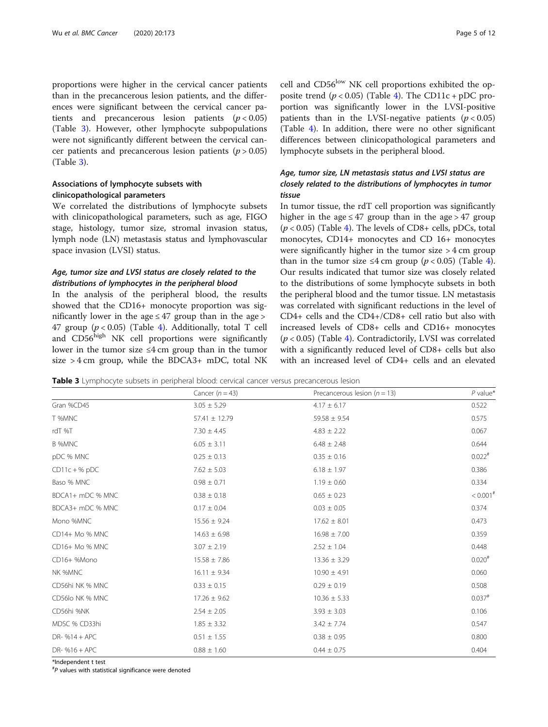proportions were higher in the cervical cancer patients than in the precancerous lesion patients, and the differences were significant between the cervical cancer patients and precancerous lesion patients  $(p < 0.05)$ (Table 3). However, other lymphocyte subpopulations were not significantly different between the cervical cancer patients and precancerous lesion patients ( $p > 0.05$ ) (Table 3).

## Associations of lymphocyte subsets with clinicopathological parameters

We correlated the distributions of lymphocyte subsets with clinicopathological parameters, such as age, FIGO stage, histology, tumor size, stromal invasion status, lymph node (LN) metastasis status and lymphovascular space invasion (LVSI) status.

## Age, tumor size and LVSI status are closely related to the distributions of lymphocytes in the peripheral blood

In the analysis of the peripheral blood, the results showed that the CD16+ monocyte proportion was significantly lower in the age  $\leq$  47 group than in the age  $>$ 47 group  $(p < 0.05)$  (Table [4\)](#page-5-0). Additionally, total T cell and CD56<sup>high</sup> NK cell proportions were significantly lower in the tumor size  $\leq 4$  cm group than in the tumor size  $>$  4 cm group, while the BDCA3+ mDC, total NK

cell and CD56<sup>low</sup> NK cell proportions exhibited the opposite trend  $(p < 0.05)$  (Table [4\)](#page-5-0). The CD11c + pDC proportion was significantly lower in the LVSI-positive patients than in the LVSI-negative patients ( $p < 0.05$ ) (Table [4\)](#page-5-0). In addition, there were no other significant differences between clinicopathological parameters and lymphocyte subsets in the peripheral blood.

## Age, tumor size, LN metastasis status and LVSI status are closely related to the distributions of lymphocytes in tumor tissue

In tumor tissue, the rdT cell proportion was significantly higher in the age  $\leq 47$  group than in the age  $> 47$  group  $(p < 0.05)$  (Table [4](#page-5-0)). The levels of CD8+ cells, pDCs, total monocytes, CD14+ monocytes and CD 16+ monocytes were significantly higher in the tumor size > 4 cm group than in the tumor size  $\leq$ [4](#page-5-0) cm group ( $p$  < 0.05) (Table 4). Our results indicated that tumor size was closely related to the distributions of some lymphocyte subsets in both the peripheral blood and the tumor tissue. LN metastasis was correlated with significant reductions in the level of CD4+ cells and the CD4+/CD8+ cell ratio but also with increased levels of CD8+ cells and CD16+ monocytes  $(p < 0.05)$  (Table [4\)](#page-5-0). Contradictorily, LVSI was correlated with a significantly reduced level of CD8+ cells but also with an increased level of CD4+ cells and an elevated

Table 3 Lymphocyte subsets in peripheral blood: cervical cancer versus precancerous lesion

|                  | Cancer $(n = 43)$ | Precancerous lesion ( $n = 13$ ) | $P$ value*             |
|------------------|-------------------|----------------------------------|------------------------|
| Gran %CD45       | $3.05 \pm 5.29$   | $4.17 \pm 6.17$                  | 0.522                  |
| T %MNC           | $57.41 \pm 12.79$ | $59.58 \pm 9.54$                 | 0.575                  |
| rdT %T           | $7.30 \pm 4.45$   | $4.83 \pm 2.22$                  | 0.067                  |
| B %MNC           | $6.05 \pm 3.11$   | $6.48 \pm 2.48$                  | 0.644                  |
| pDC % MNC        | $0.25 \pm 0.13$   | $0.35 \pm 0.16$                  | $0.022$ <sup>#</sup>   |
| $CD11c + %pDC$   | $7.62 \pm 5.03$   | $6.18 \pm 1.97$                  | 0.386                  |
| Baso % MNC       | $0.98 \pm 0.71$   | $1.19 \pm 0.60$                  | 0.334                  |
| BDCA1+ mDC % MNC | $0.38 \pm 0.18$   | $0.65 \pm 0.23$                  | $< 0.001$ <sup>#</sup> |
| BDCA3+ mDC % MNC | $0.17 \pm 0.04$   | $0.03 \pm 0.05$                  | 0.374                  |
| Mono %MNC        | $15.56 \pm 9.24$  | $17.62 \pm 8.01$                 | 0.473                  |
| CD14+ Mo % MNC   | $14.63 \pm 6.98$  | $16.98 \pm 7.00$                 | 0.359                  |
| CD16+ Mo % MNC   | $3.07 \pm 2.19$   | $2.52 \pm 1.04$                  | 0.448                  |
| CD16+ %Mono      | $15.58 \pm 7.86$  | $13.36 \pm 3.29$                 | $0.020^{#}$            |
| NK %MNC          | $16.11 \pm 9.34$  | $10.90 \pm 4.91$                 | 0.060                  |
| CD56hi NK % MNC  | $0.33 \pm 0.15$   | $0.29 \pm 0.19$                  | 0.508                  |
| CD56lo NK % MNC  | $17.26 \pm 9.62$  | $10.36 \pm 5.33$                 | $0.037$ <sup>#</sup>   |
| CD56hi %NK       | $2.54 \pm 2.05$   | $3.93 \pm 3.03$                  | 0.106                  |
| MDSC % CD33hi    | $1.85 \pm 3.32$   | $3.42 \pm 7.74$                  | 0.547                  |
| DR- $%14 + APC$  | $0.51 \pm 1.55$   | $0.38 \pm 0.95$                  | 0.800                  |
| $DR-$ %16 + APC  | $0.88 \pm 1.60$   | $0.44 \pm 0.75$                  | 0.404                  |

\*Independent t test

# P values with statistical significance were denoted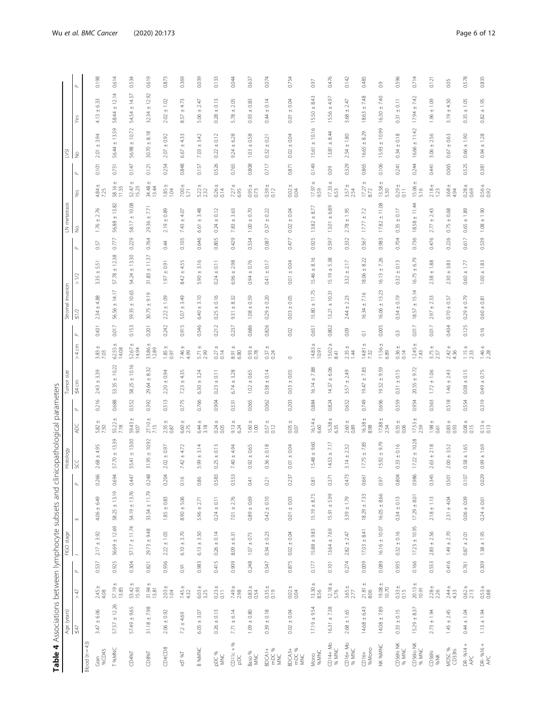<span id="page-5-0"></span>

|                              | Age (years)       |                    |          | FIGO stage              |                   |          | Histology                    |                          | Tumor size                         |                                                 |                    | Stromal invasion  |                    |           | LN metastasis<br>No |                        | LΔ            |                   |                   |               |
|------------------------------|-------------------|--------------------|----------|-------------------------|-------------------|----------|------------------------------|--------------------------|------------------------------------|-------------------------------------------------|--------------------|-------------------|--------------------|-----------|---------------------|------------------------|---------------|-------------------|-------------------|---------------|
|                              | $\leq 47$         | 547                | $\Delta$ |                         | $=$               | $\Delta$ |                              | ADC                      | $\frac{54}{3}$<br>$\Delta_{\rm c}$ | > 4 cm                                          | $\Delta$           | $\leq 1/2$        | $\geq$<br>$\wedge$ | $\Delta$  |                     | Υeς                    | 2<br>$\Delta$ |                   | Yes               | $\Delta$      |
| Blood $(n = 43)$             |                   |                    |          |                         |                   |          |                              |                          |                                    |                                                 |                    |                   |                    |           |                     |                        |               |                   |                   |               |
| %CD45<br>Gran                | $3.47 \pm 6.06$   | $2.45 \pm 4.08$    | 0.537    | $2.17 \pm 3.92$         | $4.06 \pm 6.49$   | 0.266    | $2.68 \pm 4.95$              | $5.82 \pm 7.50$          | $2.43 \pm 3.39$<br>0.216           | $3.83 + 7.03$                                   | 0.431              | $2.34 \pm 4.88$   | $3.35 \pm 5.51$    | 0.57      | $1.76 \pm 2.76$     | $4.84 \pm 7.25$        | 2.01<br>0.101 | ± 3.94            | $4.13 \pm 6.33$   | 0.198         |
| T %MNC                       | $57.57 \pm 12.26$ | $57.19 \pm 13.85$  | 0.925    | $56.69 \pm 12.69$       | $58.25 \pm 13.19$ | 0.694    | $57.70 \pm 13.39$            | $55.22 \pm 7.18$         | $53.35 \pm 10.22$<br>0.688         | $62.55 \pm 14.08$                               | 0.017              | 56.56 ± 14.17     | $57.78 \pm 12.38$  | 0.777     | $56.88 \pm 13.82$   | 58.16 ±<br>11.55       | 0.751         | 56.44 ± 13.59     | $58.44 \pm 12.14$ | 0.614         |
| CD4%T                        | $57.49 \pm 9.65$  | $53.42 \pm 15.93$  | 0.304    | $57.17 \pm 11.74$       | $54.19 \pm 13.76$ | 0.447    | $55.41 \pm 13.00$            | $59.43 + 9.07$           | $58.25 \pm 10.16$<br>0.552         | $52.67 \pm 14.94$                               | 0.153              | $59.35 \pm 10.65$ | $54.24 \pm 13.30$  | 0.229     | $58.17 \pm 10.08$   | $52.47 \pm 15.23$      | 0.147         | $56.98 \pm 10.72$ | S4.54 ± 14.57     | 0.534         |
| CDS96T                       | $31.18 \pm 7.98$  | $31.94 \pm 13.81$  | 0.821    | $29.73 \pm 9.48$        | $33.54 \pm 11.79$ | 0.248    | $31.95 \pm 10.92$            | $27.10 + 7.15$           | $29.64 \pm 8.32$<br>0.392          | $33.86 \pm 12.89$                               | 0.201              | $30.75 \pm 9.19$  | $31.83 \pm 11.37$  | 0.764     | $29.36 \pm 7.71$    | $34.48 \pm 13.44$      | 0.121         | $30.70 \pm 8.18$  | $32.34 \pm 12.92$ | 0.619         |
| CDA:CD8                      | $2.06 \pm 0.92$   | $2.03 + 1.04$      | 0.936    | $2.22 \pm 1.05$         | $1.85\pm0.83$     | 0.204    | $2.02 \pm 0.97$              | $2.35 + 0.87$            | $2.20 \pm 0.94$<br>0.513           | $1.85 + 0.97$                                   | 0.242              | $2.22 \pm 1.09$   | $1.97 \pm 0.91$    | 0.44      | $2.19 \pm 0.89$     | $1.85 + 1.04$          | 0.254         | $2.07 \pm 0.92$   | $2.02 \pm 1.02$   | 0.873         |
| rdT %T                       | $72 + 4.69$       | $7.45 \pm 4.32$    | 0.91     | $6.10 \pm 3.70$         | $8.90 \pm 5.06$   | 0.16     | 4.72<br>$7.42 \pm .$         | $6.60 \pm 2.75$          | $7.23 \pm 4.35$<br>0.775           | 7.46 ±                                          | 0.915              | ± 3.49<br>5.07    | $8.42 \pm 4.55$    | 0.105     | $7.43 \pm 4.07$     | $7.00 \pm$<br>5.71     | 0.848         | $6.67 \pm 4.33$   | $8.57 \pm 4.73$   | 0.369         |
| B %MNC                       | $6.05 \pm 3.07$   | $6.03 \pm 3.25$    | 0.983    | $6.13 + 3.50$           | $5.96 \pm 2.7$    | 0.86     | $5.99 \pm 3.14$              | $6.44 \pm 3.18$          | $6.30 \pm 3.24$<br>0.766           | $5.71 \pm$<br>2.99                              | 0.546              | $6.40 \pm 3.10$   | $5.90 \pm 3.16$    | 0.646     | $6.61 \pm 3.48$     | $5.22 \pm$<br>232      | 0.157         | $7.03 \pm 3.42$   | $5.06 \pm 2.47$   | 0.039         |
| PDC%<br>MNC                  | $0.26 \pm 0.13$   | $0.23 \pm 0.11$    | 0.415    | $0.26 \pm 0.14$         | $0.24 \pm 0.11$   | 0.583    | $0.25 \pm 0.13$              | $0.24 + 0.05$            | $0.23 \pm 0.11$<br>0.904           | $0.27 + 0.14$                                   | 0.212              | $0.25 \pm 0.16$   | $0.24 \pm 0.11$    | 0.805     | $0.24 \pm 0.12$     | $0.26 \pm 0.14$        | 0.526         | $0.22 \pm 0.12$   | $0.28 \pm 0.13$   | 0.133         |
| $CD11c + %$<br>$\frac{1}{2}$ | $7.71 \pm 6.14$   | $7.49 +$<br>2.98   | 0.909    | $8.09 \pm 6.31$         | $7.01 \pm 2.76$   | 0.553    | $7.40 \pm 4.94$              | $9.13 \pm 6.24$          | $6.74 \pm 3.28$<br>0.531           | $\begin{array}{c} 8.91 \pm \\ 6.80 \end{array}$ | 0.237              | $9.31 \pm 8.32$   | $6.96 \pm 2.98$    | 0.429     | $7.83 + 3.63$       | $7.27 \pm 6.95$        | 0.765         | $9.24 \pm 6.28$   | $5.78 \pm 2.05$   | 0.044         |
| Baso %<br>MNC                | $1.09 \pm 0.80$   | $0.83 + 0.54$      | 0.248    | $1.07 \pm 0.73$         | $0.89 \pm 0.69$   | 0.41     | $0.92 \pm 0.65$              | $\frac{1.60 \pm}{1.000}$ | $1.02 \pm 0.65$<br>0.065           | $0.93 + 0.000$                                  | 0.686              | $1.08 \pm 0.59$   | $0.94 \pm 0.76$    | 0.534     | $1.00 \pm 0.70$     | $0.95 \pm$<br>0.73     | 0.808         | $1.03 \pm 0.58$   | $0.93 \pm 0.83$   | 0.637         |
| BDCA1+<br>mDC %<br>MNC       | $0.39 \pm 0.18$   | $0.35 + 0.19$      | 0.547    | $0.34 \pm 0.23$         | $0.42 \pm 0.10$   | 0.21     | $0.36 \pm 0.18$              | $0.57 \pm 0.12$          | $0.38 \pm 0.14$<br>0.062           | $0.37 + 0.24$                                   | 0.826              | $0.29 \pm 0.20$   | $0.41 \pm 0.17$    | $0.087\,$ | $0.37 \pm 0.22$     | $0.39 + 0.12$          | 0.717         | $0.32 \pm 0.21$   | $0.44 \pm 0.14$   | 0.074         |
| BDCA3+<br>mDC %<br>MNC       | $0.02 \pm 0.04$   | $0.02 + 0.04$      | 0.875    | $0.02 \pm 0.04$         | $0.01 \pm 0.03$   | 0.237    | $\pm$ 0.04<br>$\overline{0}$ | $0.05 + 0.07$            | $0.03 \pm 0.05$<br>0.203           | $\circ$                                         | 0.02               | $0.03 + 0.05$     | $0.01 + 0.04$      | 0.477     | $0.02 \pm 0.04$     | $0.02 + 0.04$          | 0.871         | $0.02 \pm 0.04$   | $0.01 \pm 0.04$   | 0.754         |
| 96MNC<br>Mono                | $17.19 + 9.54$    | $13.30 + 8.56$     | 0.177    | $15.88 \pm 9.83$        | $15.19 \pm 8.75$  | 0.81     | $15.48 \pm 9.60$             | $16.14 \pm$<br>6.60      | $16.14 \pm 7.88$<br>0.884          | $14.83 \pm 10.91$                               | 0.651              | $15.80 \pm 11.75$ | $15.46 \pm 8.16$   | 0.925     | $13.82 \pm 8.77$    | $\frac{1}{2}$<br>17.97 | 0.149         | $15.61 \pm 10.16$ | $15.50 \pm 8.43$  | 0.97          |
| CD14+ Mo<br>% MNC            | $16.31 \pm 7.38$  | $12.18 \pm 5.76$   | 0.101    | $13.64 \pm 7.69$        | $15.91 \pm 5.99$  | 0.371    | $14.53 \pm 7.17$             | $15.38 \pm 6.35$         | $14.37 \pm 6.06$<br>0.824          | $15.02 \pm 8.41$                                | 0.802              | $13.21 \pm 10.31$ | $15.19 \pm 5.38$   | 0.597     | $13.01 \pm 6.89$    | $17.33 \pm 6.53$       | 0.09          | $13.81 \pm 8.44$  | $15.56 \pm 4.97$  | 0.476         |
| CD16+ Mo<br>% MNC            | $2.68 \pm 1.65$   | $3.65 \pm 2.77$    | 0.274    | $2.82 \pm 2.47$         | $3.39 \pm 1.79$   | 0.473    | $3.14 \pm 2.32$              | $2.60 + 0.89$            | ± 2.49<br>3.57<br>0.652            | $2.35 \pm 1.44$                                 | 0.09               | $2.44 \pm 2.23$   | $3.32 \pm 2.17$    | 0.332     | $2.78 \pm 1.95$     | $3.57 \pm 2.54$        | 0.329         | $2.54 \pm 1.80$   | $3.68 \pm 2.47$   | 0.142         |
| %Mono<br>$CD16+$             | $14,68 \pm 6,43$  | $21.81 \pm 8.06$   | 0.009    | $17.03 \pm 8.41$        | $18.29 \pm 7.33$  | 0.661    | $17.75 \pm 7.85$             | $16.38 + 8.98$           | $19.47 \pm 7.83$<br>0.749          | $\frac{14.81 \pm}{7.32}$                        | $\overline{\circ}$ | $16.34 \pm 7.16$  | $18.06 \pm 8.22$   | 0.567     | $17.77 \pm 7.2$     | $17.27 \pm 8.72$       | 0.865         | $16.65 \pm 8.29$  | $18.63 \pm 7.48$  | 0.485         |
| <b>JK %MNC</b>               | $14.08 \pm 7.89$  | $19.08 \pm 10.70$  | 0.089    | $16.16 \pm 10.07$       | $16.05 \pm 8.66$  | 0.97     | $15.92 \pm 9.79$             | $17.88 \pm 2.54$         | $19.52 \pm 9.59$<br>0.696          | $11.56 \pm 6.89$                                | 0.005              | $16.06 \pm 13.23$ | $16.13 \pm 7.26$   | 0.983     | $17.82 \pm 11.08$   | $13.58 \pm 5.30$       | 0.106         | $15.93 \pm 10.99$ | $16.30 \pm 7.40$  | $\frac{9}{2}$ |
| CD56hi NK<br>% MNC           | $0.33 \pm 0.15$   | $0.33 + 0.15$      | 0.935    | $0.32 \pm 0.16$         | $0.34 \pm 0.13$   | 0.804    | $0.33 \pm 0.16$              | $0.35 + 0.06$            | $0.31 \pm 0.15$<br>0.559           | $0.36 + 0.14$                                   | $\frac{3}{2}$      | $0.34 \pm 0.19$   | $0.32 \pm 0.13$    | 0.704     | $0.35 \pm 0.17$     | $0.29 + 0.11$          | 0.241         | $0.34 \pm 0.18$   | $0.31 \pm 0.11$   | 0.596         |
| CD56lo NK<br>% MNC           | $15.29 \pm 8.37$  | $20.13 \pm 10.91$  | 0.166    | $17.23 \pm 10.95$       | $17.29 \pm 8.01$  | 0.986    | $17.22 \pm 10.28$            | $17.53 \pm 2.59$         | $20.55 \pm 9.72$<br>0.954          | $12.45 \pm$<br>743                              | 0.017              | $18.57 \pm 15.14$ | $16.75 \pm 6.79$   | 0.736     | $18.58 \pm 11.44$   | $15.06 \pm 5.16$       | 0.244         | $16.66 \pm 11.42$ | $17.94 \pm 7.42$  | 0.714         |
| CD56hi<br>%NK                | $2.73 \pm 1.94$   | $2.28 + 2.26$      | 0.553    | $2.83 + 2.56$           | $2.18 \pm 1.13$   | 0.345    | $2.63 \pm 2.18$              | $1.98 \pm 0.61$          | $1.72 \pm 1.06$<br>0.563           | $3.75 + 2.57$                                   | 0.017              | $2.97 \pm 2.53$   | $2.38 \pm 1.88$    | 0.476     | $2.77 \pm 2.43$     | $2.18 \pm 1.23$        | 0.441         | $3.06 \pm 2.56$   | $1.96 \pm 1.09$   | 0.121         |
| MDSC %<br>CD33hi             | $1.45 \pm 2.45$   | $2.44 \pm$<br>4.33 | 0.416    | $1.49 \pm 2.70$         | $2.31 \pm 4.04$   | 0.501    | ± 3.52<br>2.00               | $0.83 + 0.93$            | $1.46 \pm 2.43$<br>0.518           | $2.42 \pm 4.36$                                 | 0,434              | $0.70 \pm 0.57$   | $2.30 \pm 3.83$    | 0.226     | $0.75 \pm 0.68$     | $3.68 \pm 4.94$        | 0.065         | $0.67 \pm 0.63$   | $3.19 \pm 4.50$   | 0.05          |
| DR- %14 +<br>APC             | $0.44 \pm 1.04$   | $0.62 \pm 2.13$    | 0.761    | $0.87\,\pm2.01$         | $0.06 \pm 0.09$   | 0.107    | $0.58 \pm 1.65$              | $0.08 + 0.015$           | $0.08 \pm 0.15$<br>0.554           | $1.15 \pm 2.33$                                 | 0.125              | $0.29 \pm 0.79$   | $0.60 \pm 1.77$    | 0.617     | $0.65 \pm 1.89$     | $0.28 + 0.69$          | 0.525         | $0.66 \pm 1.90$   | $0.35 \pm 1.05$   | 0.578         |
| DR- %16+<br>APC              | $1.13 \pm 1.94$   | $0.53 + 0.88$      |          | $0.309$ 1.38 $\pm$ 1.95 | $0.24 \pm 0.61$   | 0.029    | $0.99 \pm 1.69$              | $0.13 \pm 0.13$          | $0.49 \pm 0.75$<br>0.319           | $1.46 \pm 2.28$                                 | 0.16               | $0.60 \pm 0.81$   | $1.00 \pm 1.83$    | 0.539     | $1.08 \pm 1.90$     | $0.56 + 0.92$          | 0.381         | $0.94 \pm 1.28$   | $0.82 \pm 1.95$   | 0.835         |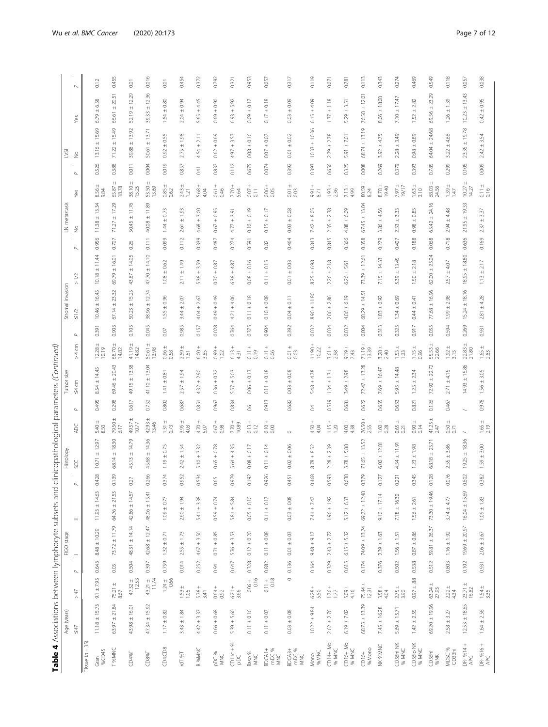|                                                                                                                                                                           | 1<br>į                     |
|---------------------------------------------------------------------------------------------------------------------------------------------------------------------------|----------------------------|
|                                                                                                                                                                           | <b>Secure</b>              |
| j<br>Í<br>i<br>I<br>֦֧֦֖֖֧֧֧֧֦֧֧֧֧֧֧֧֧֪֧֧֪֧֧֧֧֧֧֧֚֚֚֚֚֚֚֚֚֚֚֚֚֚֚֚֚֝֝֓֝֬֓֝֓֝֬֓֝֬֝֓֝֬֝֬֝֬֝֬֝֬֝֬֝֬֝֬֝֬֝֬֝֬֝֬֝֬֝֬֝֬֝֬<br>İ<br>1<br>;<br>j<br>֚֘֝֕<br>$\overline{\phantom{a}}$ | ׇ֚֬֡<br>I                  |
| $\frac{1}{3}$<br>ׇֺ֚֕֬֓֕֓֕֓֡֡֡<br>Ì<br>i<br>I<br>l<br>$\ddot{\phantom{0}}$<br>֠<br>j<br>.<br>.<br>.<br>į<br>j<br>$\frac{1}{3}$<br>j                                       | 3<br>i<br>Ī<br>j           |
| $5 + 6$<br>ׇֺ֚֕֬֓֕֓֕֓֡֡֡                                                                                                                                                  | $\frac{1}{2}$<br>Î<br>j    |
| S<br>I<br>ì<br>;<br>)<br>2<br>f<br>Par<br>١<br>١<br>ļ<br>I<br>j<br>i<br>į<br>j<br>j<br>İ<br>I<br>j<br>ł<br>í<br>Í<br>$\frac{1}{2}$                                        | i<br>9<br>j<br>ï<br>ì<br>į |
|                                                                                                                                                                           |                            |

|                                    |                          |                                                 |                         | FIGO stage              | Table 4 Associations between lymphocyte subsets and |              |                   |                        | clinicopathological parameters (Continued)           |                                                 |          | Stromal invasion  |                   |          | LN metastasi       |                                                 | Š                                    |                   |                      |          |
|------------------------------------|--------------------------|-------------------------------------------------|-------------------------|-------------------------|-----------------------------------------------------|--------------|-------------------|------------------------|------------------------------------------------------|-------------------------------------------------|----------|-------------------|-------------------|----------|--------------------|-------------------------------------------------|--------------------------------------|-------------------|----------------------|----------|
|                                    | Age (years)<br>$\leq 47$ | $\geq 47$                                       | $\mathsf{Q}_\mathsf{L}$ |                         | $=$                                                 |              | Histology<br>SCC  | Ř                      | Tumor size<br>$\leq 4$ cm<br>$\mathsf{Q}_\mathsf{L}$ | > 4 cm                                          | $\Delta$ | $\leq 1/2$        | $>1/2$            | $\Delta$ | $\frac{\circ}{2}$  | Yes                                             | $\stackrel{\circ}{\geq}$<br>$\Delta$ |                   | Yes                  | $\Delta$ |
| Tissue $(n = 35)$                  |                          |                                                 |                         |                         |                                                     |              |                   |                        |                                                      |                                                 |          |                   |                   |          |                    |                                                 |                                      |                   |                      |          |
| %CD45<br>Gran                      | $11.18 \pm 15.73$        | $9.1 \pm 7.95$                                  | 0.643                   | $8.48 \pm 10.29$        | $11.93 \pm 14.63$                                   | 0.428        | $10.71 \pm 12.97$ | $5.40 +$<br>8.50       | $8.54 \pm 14.45$<br>0.495                            | $12.28 \pm 10.19$                               | 0.391    | $10.46 \pm 16.45$ | $10.18 \pm 11.44$ | 0.956    | $11.38 \pm 13.34$  | $0.56 + 9.84$                                   | 0.526                                | $13.16 \pm 15.69$ | $6.79 \pm 6.58$      | 0.12     |
| T %MNC                             | $63.97 \pm 21.84$        | $75.21 \pm 8.67$                                | 0.05                    | $73.72 \pm 11.79$       | $64.76 \pm 21.53$                                   | 0.139        | $68.14 \pm 18.30$ | $79.50 \pm 6.17$       | 69.46 ± 20.43<br>0.298                               | $68.70 +$<br>14.82                              | 0.903    | $67.14 \pm 23.32$ | $69.79 \pm 16.01$ | 0.707    | ± 17.29<br>71.27   | $65.87 \pm 18.78$                               | 0.388                                | $71.22 \pm 15.49$ | $±$ 20.51<br>66.61   | 0.455    |
| CD4%T                              | $43.98 \pm 16.01$        | $47.32 \pm 12.53$                               | 0.504                   | 48.31 ± 14.14           | $42.86 \pm 14.57$                                   | 0.27         | 45.13 ± 14.79     | $49.57 \pm 10.77$      | 49.15 ± 13.38<br>0.617                               | $41.19 \pm 14.82$                               | 0.105    | $50.23 \pm 15.25$ | 43.87 ± 14.05     | 0.26     | $50.45 \pm 11.76$  | 38.10 ±<br>15.25                                | 0.011                                | 39.88 ± 13.92     | $52.19 \pm 12.29$    | 0.01     |
| CDS96T                             | $47.34 \pm 15.92$        | $43.21 \pm 11.74$                               | 0.397                   | $42.68 \pm 12.47$       | $48.06 \pm 15.41$                                   | 0.266        | $45.68 \pm 14.36$ | $42.93 +$<br>13.46     | $41.10 \pm 13.04$<br>0.752                           | $50.61 \pm$<br>13.98                            | 0.045    | $38.96 \pm 12.74$ | $47.70 \pm 14.10$ | 0.111    | $40.08 \pm 11.89$  | 53.50 ±<br>13.69                                | 50.61<br>0.004                       | ± 13.71           | $\pm 12.36$<br>39.33 | 0.016    |
| CD4:CD8                            | $1.17 \pm 0.82$          | $1.24 \pm 0.66$                                 | 0.759                   | $1.32 \pm 0.71$         | $1.09 \pm 0.77$                                     | 0.374        | $1.19 \pm 0.75$   | $\frac{131 \pm}{0.73}$ | $1.41 \pm 0.81$<br>0.802                             | $0.96 + 0.58$                                   | $0.07\,$ | $1.55 \pm 0.96$   | $1.08\pm0.62$     | 0.099    | $1.44 \pm 0.73$    | $0.85 \pm 0.62$                                 | 0.019                                | $0.92 \pm 0.55$   | $1.54 \pm 0.80$      | 0.01     |
| T% Lpi                             | $3.43 \pm 1.84$          | $1.53 \pm 1.05$                                 | 0.014                   | $2.55 \pm 1.73$         | $2.60 \pm 1.94$                                     | 0.952        | $2.42 \pm 1.54$   | $3.95 \pm$<br>4.03     | ± 1.94<br>257<br>0.687                               | $2.59 \pm$<br>161                               | 0.985    | $3.44 \pm 2.07$   | $2.11 \pm 1.49$   | 0.112    | $\pm$ 1.93<br>2.61 | $2.43 \pm$<br>1.21                              | 0.857                                | $2.75 \pm 1.98$   | $2.04 \pm 0.94$      | 0.454    |
| B %MNC                             | $4.42 \pm 3.37$          | $5.78 \pm 3.41$                                 | 0.252                   | $4.67 \pm 3.50$         | $5.41 \pm 3.38$                                     | <b>J.534</b> | $5.10 \pm 3.32$   | $4.70 + 5.07$          | $\pm$ 2.90<br>432<br>0.851                           | $6.00 +$<br>3.85                                | 0.157    | $4.04 \pm 2.67$   | $5.38 \pm 3.59$   | 0.339    | $4.68 \pm 3.00$    | $5.68 \pm 4.04$                                 | 4.54<br>$1 + 0$                      | $+ 2.11$          | $5.65 \pm 4.45$      | 0.372    |
| PDC %<br>MKC                       | $0.66 \pm 0.68$          | $0.64 \pm$<br>0.92                              | 0.94                    | $0.71 \pm 0.85$         | $0.59 \pm 0.74$                                     | 165          | $0.65 \pm 0.78$   | $0.67 + 0.98$          | $0.36 \pm 0.32$<br>0.967                             | $1094 +$                                        | 0.028    | $0.49 \pm 0.49$   | $0.70 \pm 0.87$   | 0.487    | $0.67 \pm 0.95$    | $0.61 \pm$<br>0.46                              | 0.837                                | $0.62 \pm 0.69$   | $0.69 \pm 0.90$      | 0.792    |
| $CDI1c + %$<br>pDC                 | $5.39 \pm 5.60$          | $6.21 \pm 3.66$                                 | 0.647                   | $5.76 \pm 3.53$         | $5.81 \pm 5.84$                                     | 0.979        | $5.64 \pm 4.35$   | $7.70 \pm$<br>10.89    | $\pm$ 5.03<br>5.57<br>0.834                          | $6.13 \pm 4.31$                                 | 0.764    | $4.21 \pm 4.06$   | $6.38 \pm 4.87$   | 0.274    | ± 3.91<br>4.77     | $7.70 \pm$<br>5.64                              | 4.97<br>0.112                        | ± 3.57            | $6.93 + 5.92$        | 0.321    |
| Baso %<br>MKC                      | $0.11 \pm 0.16$          | $0.06 +$<br>0.16                                | 0.328                   | $0.12\,\pm\,0.20$       | $0.05 \pm 0.10$                                     | 0.192        | $0.08\,\pm\,0.17$ | $0.13 \pm 0.12$        | $0.06 \pm 0.13$<br>66                                | $0.11 \pm 0.010$                                | 0.375    | $0.11 \pm 0.18$   | $0.08 \pm 0.16$   | 0.591    | $0.10 \pm 0.19$    | $\begin{array}{c} 0.07 \pm \\ 0.11 \end{array}$ | 0.675                                | $0.08 \pm 0.16$   | $0.09 \pm 0.17$      | 0.953    |
| mDC %<br>BDCA1+<br>MKC             | $0.11 \pm 0.07$          | $\begin{array}{c} 0.11 \pm \\ 0.18 \end{array}$ | 0.882                   | $0.11 \pm 0.08$         | $0.11 \pm 0.17$                                     | 0.926        | $0.11 \pm 0.14$   | $0.10 \pm$<br>0.00     | $0.11 \pm 0.18$<br>0.913                             | $0.11 \pm$<br>0.06                              | 0.904    | $0.10 \pm 0.08$   | $0.11 \pm 0.15$   | 0.82     | $0.15 \pm 0.17$    | $0.06 \pm 0.05$                                 | 0.07<br>0.074                        | $\pm$ 0.07        | $0.17 \pm 0.18$      | 0.057    |
| mDC %<br>BDCA <sub>3+</sub><br>MKC | $0.03 + 0.08$            |                                                 | $\circ$                 | $0.136$ $0.01 \pm 0.03$ | $0.03 + 0.08$                                       | 0.451        | $0.02 \pm 0.06$   | $\circ$                | $0.03 + 0.08$<br>0.682                               | $\begin{array}{c} 0.01 \pm \\ 0.03 \end{array}$ | 0.392    | $0.04 \pm 0.11$   | $0.01 + 0.03$     | 0.464    | $0.03 \pm 0.08$    | $\begin{array}{c} 0.01 \pm \\ 0.03 \end{array}$ | $\overline{0}$ 01<br>0.392           | $\pm$ 0.02        | $0.03 + 0.09$        | 0.317    |
| 96MNC<br>Mono                      | $10.22 \pm 9.84$         | $6.28 \pm 5.50$                                 |                         | $0.164$ 9.48 $\pm$ 9.17 | $7.41 + 7.47$                                       | 0.468        | $8.78 \pm 8.52$   | $4.50 + 4.04$          | $5.48 \pm 4.78$<br>$\overline{04}$                   | $11.90 + 10.22$                                 | 0.032    | $8.90 \pm 11.80$  | $8.25 \pm 6.98$   | 0.843    | $7.42 \pm 8.05$    | $\frac{9.91 \pm}{8.71}$                         | 0.393                                | $10.33 \pm 10.36$ | $6.15 \pm 4.09$      | 0.119    |
| CD14+ Mo<br>% MNC                  | $2.62 \pm 2.76$          | $176 +$                                         | 0.329                   | $2.43 \pm 2.72$         | $1.96 \pm 1.92$                                     | 0.593        | $2.28 \pm 2.39$   | $1.15 + 1.20$          | ± 1.31<br>134<br>0.519                               | $3.61 \pm$<br>2.98                              | 0.034    | $2.06 \pm 2.86$   | $2.26 \pm 2.18$   | 0.845    | $2.35 \pm 2.38$    | $1.93 \pm 2.36$                                 | 0.656                                | $2.79 \pm 2.78$   | $1.37 \pm 1.18$      | 0.071    |
| $CD16+MO$<br>% MNC                 | $6.19 \pm 7.02$          | $5.09 + 4.16$                                   | 0.615                   | $6.15 + 5.32$           | $5.12 \pm 6.33$                                     | 0.638        | $5.78 \pm 5.88$   | $4.38 + 4.38$          | $3.49 \pm 2.98$<br>0.681                             | $9.19 + 7.43$                                   | 0.032    | $4.06 \pm 6.19$   | $6.26 \pm 5.61$   | 0.366    | $4.88 \pm 6.09$    | $7.13 \pm 4.99$                                 | 0.325                                | $5.91 \pm 7.01$   | $5.29 \pm 3.51$      | 0.781    |
| %Mono<br>$CD16+$                   | $68.75 \pm 13.39$        | 75.44 ±<br>12.31                                | 0.174                   | 74.09 ± 13.74           | $69.72 \pm 12.48$                                   | 0.379        | $71.65 \pm 13.52$ | 76.50 ±<br>2.55        | $72.47 \pm 13.28$<br>0.622                           | 71.19±<br>13.39                                 | 0.804    | $68.29 \pm 14.51$ | $73.39 \pm 12.61$ | 0.358    | $67.45 \pm 13.04$  | $30.59 \pm$<br>8.24                             | 0.008                                | $68.74 \pm 13.19$ | 76.58 ± 12.01        | 0.113    |
| NK %MNC                            | $7.45 \pm 16.28$         | $3.58 \pm 4.04$                                 | 0.376                   | $2.39 \pm 1.63$         | $9.10 \pm 17.14$                                    | 0.127        | $6.00 \pm 12.81$  | $1.60 + 0.28$          | $7.69 \pm 16.47$<br>0.635                            | $3.28 + 2.40$                                   | 0.313    | $1.83 \pm 0.92$   | $7.15 \pm 14.33$  | 0.279    | $3.86 \pm 4.56$    | $8.78 \pm$<br>19.40                             | 3.92<br>0.269                        | ± 4.75            | $8.06 \pm 18.08$     | 0.343    |
| CD56hi NK<br>% MNC                 | $5.69 \pm 15.71$         | $2.75 \pm 3.90$                                 | 0.502                   | $1.56 \pm 1.51$         | $7.18 \pm 16.30$                                    | 0.221        | $4.54 \pm 11.91$  | $0.65 \pm 0.21$        | $5.95 \pm 14.48$<br>0.653                            | $1.53 \pm 1.33$                                 | 0.325    | $1.34 \pm 0.69$   | $5.39 \pm 13.45$  | 0.407    | $2.33 \pm 3.33$    | 1971                                            | 0.379                                | $2.28 \pm 3.49$   | $7.10 \pm 17.47$     | 0.274    |
| CD56lo NK<br>96 MNC                | $1.42 \pm 2.55$          | $0.97 \pm .88$                                  | 0.538                   | $0.87 + 0.86$           | $1.56 \pm 2.61$                                     | 0.345        | $1.23 \pm 1.98$   | $\pm$ 0.90<br>0.14     | $1.23 \pm 2.34$<br>0.821                             | $1.15 + 0.96$                                   | 0.917    | $0.44 \pm 0.41$   | $1.50 \pm 2.18$   | 0.188    | $0.98 \pm 0.85$    | $1.63 \pm$<br>3.10                              | 0.393                                | $0.98 \pm 0.89$   | $1.52 \pm 2.82$      | 0.469    |
| CD56hi<br>%NK                      | $69.20 \pm 19.96$        | $63.24 \pm 27.93$                               | 0.512                   | 59.81 ± 26.37           | $73.30 \pm 19.46$                                   | 0.128        | $68.18 \pm 23.71$ | $41.25 \pm$<br>247     | $72.92 \pm 22.72$<br>0.126                           | $55.53 \pm 22.66$                               | 0.055    | $77.68 \pm 16.96$ | $62.00 \pm 25.04$ | 0.068    | $65.42 \pm 24.16$  | $68.03 +$<br>24.56                              | 0.785                                | $64.04 \pm 24.68$ | $69.56 \pm 23.29$    | 0.549    |
| MDSC %<br>CD33hi                   | $2.58 \pm 3.27$          | $2.22 \pm 4.34$                                 | 0.803                   | $1.16 \pm 1.92$         | $3.74 \pm 4.77$                                     | 0.076        | $2.55 \pm 3.86$   | $0.50 + 0.71$          | $2.71 \pm 4.15$<br>0.467                             | $1.92 \pm 3.15$                                 | 0.594    | $1.99 \pm 2.98$   | $2.57 \pm 4.07$   | 0.718    | $2.94 \pm 4.48$    | $1.39 +$<br>1.47                                | 0.299                                | $3.22 \pm 4.66$   | $1.26 \pm 1.39$      | 0.118    |
| $DR-$ % $14+$<br>APC               | $12.53 \pm 18.65$        | $23.71 \pm 16.82$                               |                         | $0.102$ 19.69 ± 20.97   | $16.04 \pm 15.69$                                   | 0.602        | $19.25 \pm 18.36$ |                        | $14.93 \pm 15.86$                                    | $22.83 +$<br>21.80                              | 0.269    | $15.24 \pm 18.16$ | $18.95 \pm 18.80$ | 0.636    | $21.95 \pm 19.33$  | $10.27 \pm 14.27$                               | 0.105                                | $23.35 \pm 19.78$ | $10.23 \pm 13.43$    | 0.057    |
| DR- %16+<br>APC                    | $1.64 \pm 2.56$          | $1.54 \pm 3.35$                                 | 0.931                   | $2.06 \pm 3.67$         | $1.09\pm1.83$                                       | 0.382        | $1.59 \pm 3.00$   | $1.65 \pm 2.19$        | $1.56 \pm 3.05$<br>0.978                             | $1.65 \pm 2.83$                                 | 0.931    | $2.81 \pm 4.28$   | $1.13 \pm 2.17$   | 0.169    | $237 \pm 3.37$     | $0.11 \pm 0.16$                                 | 0.009                                | $2.42 \pm 3.54$   | $0.42 \pm 0.95$      | 0.038    |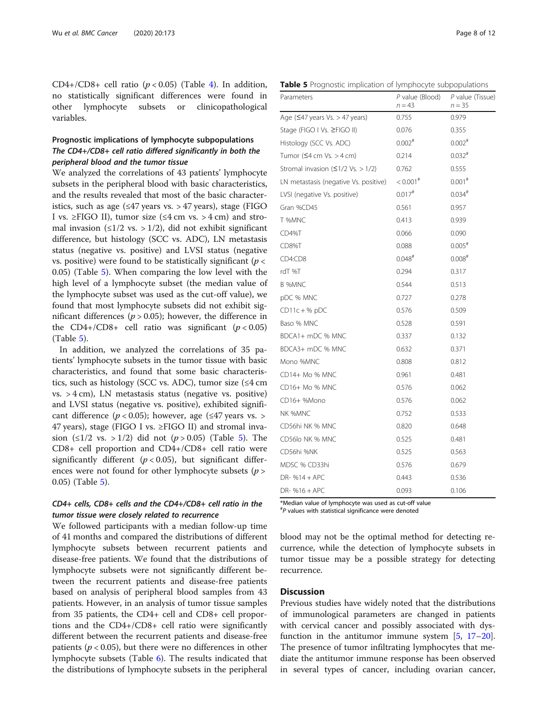CD[4](#page-5-0)+/CD8+ cell ratio  $(p < 0.05)$  (Table 4). In addition, no statistically significant differences were found in other lymphocyte subsets or clinicopathological variables.

## Prognostic implications of lymphocyte subpopulations The CD4+/CD8+ cell ratio differed significantly in both the peripheral blood and the tumor tissue

We analyzed the correlations of 43 patients' lymphocyte subsets in the peripheral blood with basic characteristics, and the results revealed that most of the basic characteristics, such as age  $(\leq 47$  years vs. > 47 years), stage (FIGO I vs. ≥FIGO II), tumor size (≤4 cm vs. > 4 cm) and stromal invasion ( $\leq$ 1/2 vs. > 1/2), did not exhibit significant difference, but histology (SCC vs. ADC), LN metastasis status (negative vs. positive) and LVSI status (negative vs. positive) were found to be statistically significant ( $p <$ 0.05) (Table 5). When comparing the low level with the high level of a lymphocyte subset (the median value of the lymphocyte subset was used as the cut-off value), we found that most lymphocyte subsets did not exhibit significant differences ( $p > 0.05$ ); however, the difference in the CD4+/CD8+ cell ratio was significant ( $p < 0.05$ ) (Table 5).

In addition, we analyzed the correlations of 35 patients' lymphocyte subsets in the tumor tissue with basic characteristics, and found that some basic characteristics, such as histology (SCC vs. ADC), tumor size  $(≤4 \text{ cm})$  $vs. > 4$  cm), LN metastasis status (negative vs. positive) and LVSI status (negative vs. positive), exhibited significant difference ( $p < 0.05$ ); however, age ( $\leq 47$  years vs. > 47 years), stage (FIGO I vs. ≥FIGO II) and stromal invasion (≤1/2 vs. > 1/2) did not (*p* > 0.05) (Table 5). The CD8+ cell proportion and CD4+/CD8+ cell ratio were significantly different ( $p < 0.05$ ), but significant differences were not found for other lymphocyte subsets ( $p$  > 0.05) (Table 5).

## CD4+ cells, CD8+ cells and the CD4+/CD8+ cell ratio in the tumor tissue were closely related to recurrence

We followed participants with a median follow-up time of 41 months and compared the distributions of different lymphocyte subsets between recurrent patients and disease-free patients. We found that the distributions of lymphocyte subsets were not significantly different between the recurrent patients and disease-free patients based on analysis of peripheral blood samples from 43 patients. However, in an analysis of tumor tissue samples from 35 patients, the CD4+ cell and CD8+ cell proportions and the CD4+/CD8+ cell ratio were significantly different between the recurrent patients and disease-free patients ( $p < 0.05$ ), but there were no differences in other lymphocyte subsets (Table [6\)](#page-8-0). The results indicated that the distributions of lymphocyte subsets in the peripheral

Table 5 Prognostic implication of lymphocyte subpopulations

| Parameters                                               | $P$ value (Blood)<br>$n = 43$ | $P$ value (Tissue)<br>$n = 35$ |
|----------------------------------------------------------|-------------------------------|--------------------------------|
| Age $(547 \text{ years} \text{ Vs.} > 47 \text{ years})$ | 0.755                         | 0.979                          |
| Stage (FIGO I Vs. ≥FIGO II)                              | 0.076                         | 0.355                          |
| Histology (SCC Vs. ADC)                                  | $0.002$ #                     | $0.002$ <sup>#</sup>           |
| Tumor $(≤4 cm Vs. > 4 cm)$                               | 0.214                         | $0.032$ <sup>#</sup>           |
| Stromal invasion $(51/2 \text{ Vs.} > 1/2)$              | 0.762                         | 0.555                          |
| LN metastasis (negative Vs. positive)                    | $< 0.001$ <sup>#</sup>        | $0.001$ <sup>#</sup>           |
| LVSI (negative Vs. positive)                             | $0.017$ <sup>#</sup>          | $0.034$ <sup>#</sup>           |
| Gran %CD45                                               | 0.561                         | 0.957                          |
| T %MNC                                                   | 0.413                         | 0.939                          |
| CD4%T                                                    | 0.066                         | 0.090                          |
| CD8%T                                                    | 0.088                         | $0.005$ <sup>#</sup>           |
| CD4:CD8                                                  | $0.048$ <sup>#</sup>          | $0.008$ <sup>#</sup>           |
| rdT %T                                                   | 0.294                         | 0.317                          |
| <b>B %MNC</b>                                            | 0.544                         | 0.513                          |
| pDC % MNC                                                | 0.727                         | 0.278                          |
| $CD11c + %pDC$                                           | 0.576                         | 0.509                          |
| Baso % MNC                                               | 0.528                         | 0.591                          |
| BDCA1+ mDC % MNC                                         | 0.337                         | 0.132                          |
| BDCA3+ mDC % MNC                                         | 0.632                         | 0.371                          |
| Mono %MNC                                                | 0.808                         | 0.812                          |
| CD14+ Mo % MNC                                           | 0.961                         | 0.481                          |
| CD16+ Mo % MNC                                           | 0.576                         | 0.062                          |
| CD16+ %Mono                                              | 0.576                         | 0.062                          |
| NK %MNC                                                  | 0.752                         | 0.533                          |
| CD56hi NK % MNC                                          | 0.820                         | 0.648                          |
| CD56lo NK % MNC                                          | 0.525                         | 0.481                          |
| CD56hi %NK                                               | 0.525                         | 0.563                          |
| MDSC % CD33hi                                            | 0.576                         | 0.679                          |
| $DR-$ %14 + APC                                          | 0.443                         | 0.536                          |
| $DR-$ %16 + APC                                          | 0.093                         | 0.106                          |

\*Median value of lymphocyte was used as cut-off value # P values with statistical significance were denoted

blood may not be the optimal method for detecting recurrence, while the detection of lymphocyte subsets in tumor tissue may be a possible strategy for detecting recurrence.

## **Discussion**

Previous studies have widely noted that the distributions of immunological parameters are changed in patients with cervical cancer and possibly associated with dysfunction in the antitumor immune system  $[5, 17-20]$  $[5, 17-20]$  $[5, 17-20]$  $[5, 17-20]$  $[5, 17-20]$  $[5, 17-20]$  $[5, 17-20]$ . The presence of tumor infiltrating lymphocytes that mediate the antitumor immune response has been observed in several types of cancer, including ovarian cancer,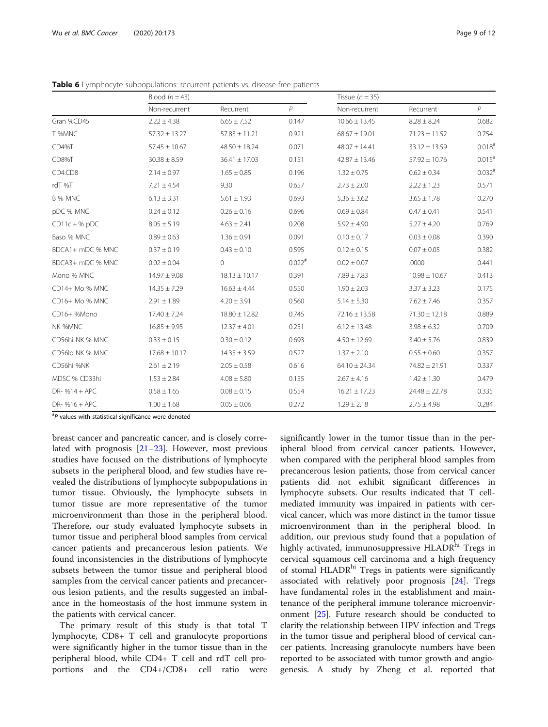|                  | Blood $(n=43)$    |                   |                      | Tissue $(n = 35)$ |                   |                      |  |
|------------------|-------------------|-------------------|----------------------|-------------------|-------------------|----------------------|--|
|                  | Non-recurrent     | Recurrent         | P                    | Non-recurrent     | Recurrent         | P                    |  |
| Gran %CD45       | $2.22 \pm 4.38$   | $6.65 \pm 7.52$   | 0.147                | $10.66 \pm 13.45$ | $8.28 \pm 8.24$   | 0.682                |  |
| T %MNC           | $57.32 \pm 13.27$ | $57.83 \pm 11.21$ | 0.921                | $68.67 \pm 19.01$ | $71.23 \pm 11.52$ | 0.754                |  |
| CD4%T            | $57.45 \pm 10.67$ | $48.50 \pm 18.24$ | 0.071                | $48.07 \pm 14.41$ | $33.12 \pm 13.59$ | $0.018$ <sup>#</sup> |  |
| CD8%T            | $30.38 \pm 8.59$  | $36.41 \pm 17.03$ | 0.151                | $42.87 \pm 13.46$ | $57.92 \pm 10.76$ | $0.015$ <sup>#</sup> |  |
| CD4:CD8          | $2.14 \pm 0.97$   | $1.65 \pm 0.85$   | 0.196                | $1.32 \pm 0.75$   | $0.62 \pm 0.34$   | $0.032$ <sup>#</sup> |  |
| rdT %T           | $7.21 \pm 4.54$   | 9.30              | 0.657                | $2.73 \pm 2.00$   | $2.22 \pm 1.23$   | 0.571                |  |
| B % MNC          | $6.13 \pm 3.31$   | $5.61 \pm 1.93$   | 0.693                | $5.36 \pm 3.62$   | $3.65 \pm 1.78$   | 0.270                |  |
| pDC % MNC        | $0.24 \pm 0.12$   | $0.26 \pm 0.16$   | 0.696                | $0.69 \pm 0.84$   | $0.47 \pm 0.41$   | 0.541                |  |
| $CD11c + %pDC$   | $8.05 \pm 5.19$   | $4.63 \pm 2.41$   | 0.208                | $5.92 \pm 4.90$   | $5.27 \pm 4.20$   | 0.769                |  |
| Baso % MNC       | $0.89 \pm 0.63$   | $1.36 \pm 0.91$   | 0.091                | $0.10 \pm 0.17$   | $0.03 \pm 0.08$   | 0.390                |  |
| BDCA1+ mDC % MNC | $0.37 \pm 0.19$   | $0.43 \pm 0.10$   | 0.595                | $0.12 \pm 0.15$   | $0.07 \pm 0.05$   | 0.382                |  |
| BDCA3+ mDC % MNC | $0.02 \pm 0.04$   | 0                 | $0.022$ <sup>#</sup> | $0.02 \pm 0.07$   | .0000             | 0.441                |  |
| Mono % MNC       | $14.97 \pm 9.08$  | $18.13 \pm 10.17$ | 0.391                | $7.89 \pm 7.83$   | $10.98 \pm 10.67$ | 0.413                |  |
| CD14+ Mo % MNC   | $14.35 \pm 7.29$  | $16.63 \pm 4.44$  | 0.550                | $1.90 \pm 2.03$   | $3.37 \pm 3.23$   | 0.175                |  |
| CD16+ Mo % MNC   | $2.91 \pm 1.89$   | $4.20 \pm 3.91$   | 0.560                | $5.14 \pm 5.30$   | $7.62 \pm 7.46$   | 0.357                |  |
| CD16+ %Mono      | $17.40 \pm 7.24$  | $18.80 \pm 12.82$ | 0.745                | $72.16 \pm 13.58$ | $71.30 \pm 12.18$ | 0.889                |  |
| NK %MNC          | $16.85 \pm 9.95$  | $12.37 \pm 4.01$  | 0.251                | $6.12 \pm 13.48$  | $3.98 \pm 6.32$   | 0.709                |  |
| CD56hi NK % MNC  | $0.33 \pm 0.15$   | $0.30 \pm 0.12$   | 0.693                | $4.50 \pm 12.69$  | $3.40 \pm 5.76$   | 0.839                |  |
| CD56lo NK % MNC  | $17.68 \pm 10.17$ | $14.35 \pm 3.59$  | 0.527                | $1.37 \pm 2.10$   | $0.55 \pm 0.60$   | 0.357                |  |
| CD56hi %NK       | $2.61 \pm 2.19$   | $2.05 \pm 0.58$   | 0.616                | $64.10 \pm 24.34$ | $74.82 \pm 21.91$ | 0.337                |  |
| MDSC % CD33hi    | $1.53 \pm 2.84$   | $4.08 \pm 5.80$   | 0.155                | $2.67 \pm 4.16$   | $1.42 \pm 1.30$   | 0.479                |  |
| DR- $%14 + APC$  | $0.58 \pm 1.65$   | $0.08 \pm 0.15$   | 0.554                | $16.21 \pm 17.23$ | $24.48 \pm 22.78$ | 0.335                |  |
| DR- $%16+APC$    | $1.00 \pm 1.68$   | $0.05 \pm 0.06$   | 0.272                | $1.29 \pm 2.18$   | $2.75 \pm 4.98$   | 0.284                |  |

<span id="page-8-0"></span>Table 6 Lymphocyte subpopulations: recurrent patients vs. disease-free patients

# P values with statistical significance were denoted

breast cancer and pancreatic cancer, and is closely correlated with prognosis [[21](#page-11-0)–[23](#page-11-0)]. However, most previous studies have focused on the distributions of lymphocyte subsets in the peripheral blood, and few studies have revealed the distributions of lymphocyte subpopulations in tumor tissue. Obviously, the lymphocyte subsets in tumor tissue are more representative of the tumor microenvironment than those in the peripheral blood. Therefore, our study evaluated lymphocyte subsets in tumor tissue and peripheral blood samples from cervical cancer patients and precancerous lesion patients. We found inconsistencies in the distributions of lymphocyte subsets between the tumor tissue and peripheral blood samples from the cervical cancer patients and precancerous lesion patients, and the results suggested an imbalance in the homeostasis of the host immune system in the patients with cervical cancer.

The primary result of this study is that total T lymphocyte, CD8+ T cell and granulocyte proportions were significantly higher in the tumor tissue than in the peripheral blood, while CD4+ T cell and rdT cell proportions and the CD4+/CD8+ cell ratio were

significantly lower in the tumor tissue than in the peripheral blood from cervical cancer patients. However, when compared with the peripheral blood samples from precancerous lesion patients, those from cervical cancer patients did not exhibit significant differences in lymphocyte subsets. Our results indicated that T cellmediated immunity was impaired in patients with cervical cancer, which was more distinct in the tumor tissue microenvironment than in the peripheral blood. In addition, our previous study found that a population of highly activated, immunosuppressive HLADR<sup>hi</sup> Tregs in cervical squamous cell carcinoma and a high frequency of stomal HLADR<sup>hi</sup> Tregs in patients were significantly associated with relatively poor prognosis [[24\]](#page-11-0). Tregs have fundamental roles in the establishment and maintenance of the peripheral immune tolerance microenvironment [[25](#page-11-0)]. Future research should be conducted to clarify the relationship between HPV infection and Tregs in the tumor tissue and peripheral blood of cervical cancer patients. Increasing granulocyte numbers have been reported to be associated with tumor growth and angiogenesis. A study by Zheng et al. reported that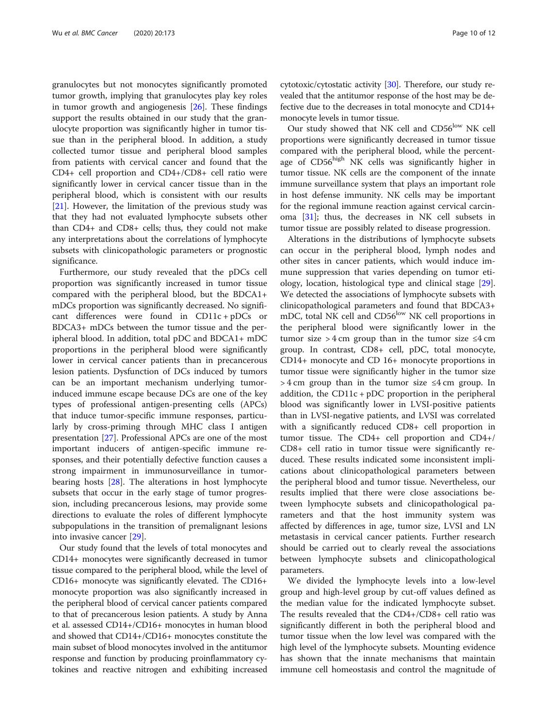granulocytes but not monocytes significantly promoted tumor growth, implying that granulocytes play key roles in tumor growth and angiogenesis [[26\]](#page-11-0). These findings support the results obtained in our study that the granulocyte proportion was significantly higher in tumor tissue than in the peripheral blood. In addition, a study collected tumor tissue and peripheral blood samples from patients with cervical cancer and found that the CD4+ cell proportion and CD4+/CD8+ cell ratio were significantly lower in cervical cancer tissue than in the peripheral blood, which is consistent with our results [[21\]](#page-11-0). However, the limitation of the previous study was that they had not evaluated lymphocyte subsets other than CD4+ and CD8+ cells; thus, they could not make any interpretations about the correlations of lymphocyte subsets with clinicopathologic parameters or prognostic significance.

Furthermore, our study revealed that the pDCs cell proportion was significantly increased in tumor tissue compared with the peripheral blood, but the BDCA1+ mDCs proportion was significantly decreased. No significant differences were found in CD11c + pDCs or BDCA3+ mDCs between the tumor tissue and the peripheral blood. In addition, total pDC and BDCA1+ mDC proportions in the peripheral blood were significantly lower in cervical cancer patients than in precancerous lesion patients. Dysfunction of DCs induced by tumors can be an important mechanism underlying tumorinduced immune escape because DCs are one of the key types of professional antigen-presenting cells (APCs) that induce tumor-specific immune responses, particularly by cross-priming through MHC class I antigen presentation [[27](#page-11-0)]. Professional APCs are one of the most important inducers of antigen-specific immune responses, and their potentially defective function causes a strong impairment in immunosurveillance in tumorbearing hosts [[28](#page-11-0)]. The alterations in host lymphocyte subsets that occur in the early stage of tumor progression, including precancerous lesions, may provide some directions to evaluate the roles of different lymphocyte subpopulations in the transition of premalignant lesions into invasive cancer [[29\]](#page-11-0).

Our study found that the levels of total monocytes and CD14+ monocytes were significantly decreased in tumor tissue compared to the peripheral blood, while the level of CD16+ monocyte was significantly elevated. The CD16+ monocyte proportion was also significantly increased in the peripheral blood of cervical cancer patients compared to that of precancerous lesion patients. A study by Anna et al. assessed CD14+/CD16+ monocytes in human blood and showed that CD14+/CD16+ monocytes constitute the main subset of blood monocytes involved in the antitumor response and function by producing proinflammatory cytokines and reactive nitrogen and exhibiting increased

cytotoxic/cytostatic activity [[30\]](#page-11-0). Therefore, our study revealed that the antitumor response of the host may be defective due to the decreases in total monocyte and CD14+ monocyte levels in tumor tissue.

Our study showed that NK cell and CD56<sup>low</sup> NK cell proportions were significantly decreased in tumor tissue compared with the peripheral blood, while the percentage of CD56<sup>high</sup> NK cells was significantly higher in tumor tissue. NK cells are the component of the innate immune surveillance system that plays an important role in host defense immunity. NK cells may be important for the regional immune reaction against cervical carcinoma [[31](#page-11-0)]; thus, the decreases in NK cell subsets in tumor tissue are possibly related to disease progression.

Alterations in the distributions of lymphocyte subsets can occur in the peripheral blood, lymph nodes and other sites in cancer patients, which would induce immune suppression that varies depending on tumor etiology, location, histological type and clinical stage [\[29](#page-11-0)]. We detected the associations of lymphocyte subsets with clinicopathological parameters and found that BDCA3+ mDC, total NK cell and CD56<sup>low</sup> NK cell proportions in the peripheral blood were significantly lower in the tumor size > 4 cm group than in the tumor size  $\leq 4$  cm group. In contrast, CD8+ cell, pDC, total monocyte, CD14+ monocyte and CD 16+ monocyte proportions in tumor tissue were significantly higher in the tumor size  $>$  4 cm group than in the tumor size  $\leq$  4 cm group. In addition, the CD11c +  $pDC$  proportion in the peripheral blood was significantly lower in LVSI-positive patients than in LVSI-negative patients, and LVSI was correlated with a significantly reduced CD8+ cell proportion in tumor tissue. The CD4+ cell proportion and CD4+/ CD8+ cell ratio in tumor tissue were significantly reduced. These results indicated some inconsistent implications about clinicopathological parameters between the peripheral blood and tumor tissue. Nevertheless, our results implied that there were close associations between lymphocyte subsets and clinicopathological parameters and that the host immunity system was affected by differences in age, tumor size, LVSI and LN metastasis in cervical cancer patients. Further research should be carried out to clearly reveal the associations between lymphocyte subsets and clinicopathological parameters.

We divided the lymphocyte levels into a low-level group and high-level group by cut-off values defined as the median value for the indicated lymphocyte subset. The results revealed that the CD4+/CD8+ cell ratio was significantly different in both the peripheral blood and tumor tissue when the low level was compared with the high level of the lymphocyte subsets. Mounting evidence has shown that the innate mechanisms that maintain immune cell homeostasis and control the magnitude of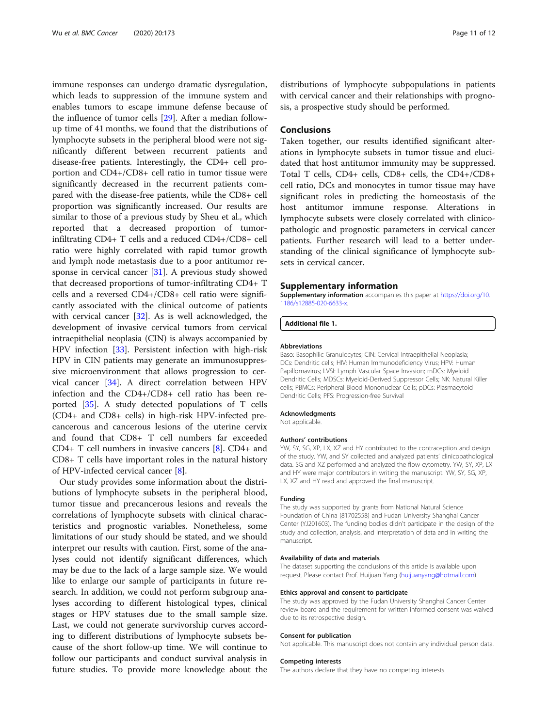<span id="page-10-0"></span>immune responses can undergo dramatic dysregulation, which leads to suppression of the immune system and enables tumors to escape immune defense because of the influence of tumor cells [[29\]](#page-11-0). After a median followup time of 41 months, we found that the distributions of lymphocyte subsets in the peripheral blood were not significantly different between recurrent patients and disease-free patients. Interestingly, the CD4+ cell proportion and CD4+/CD8+ cell ratio in tumor tissue were significantly decreased in the recurrent patients compared with the disease-free patients, while the CD8+ cell proportion was significantly increased. Our results are similar to those of a previous study by Sheu et al., which reported that a decreased proportion of tumorinfiltrating CD4+ T cells and a reduced CD4+/CD8+ cell ratio were highly correlated with rapid tumor growth and lymph node metastasis due to a poor antitumor response in cervical cancer [\[31](#page-11-0)]. A previous study showed that decreased proportions of tumor-infiltrating CD4+ T cells and a reversed CD4+/CD8+ cell ratio were significantly associated with the clinical outcome of patients with cervical cancer [\[32\]](#page-11-0). As is well acknowledged, the development of invasive cervical tumors from cervical intraepithelial neoplasia (CIN) is always accompanied by HPV infection [[33](#page-11-0)]. Persistent infection with high-risk HPV in CIN patients may generate an immunosuppressive microenvironment that allows progression to cervical cancer [[34\]](#page-11-0). A direct correlation between HPV infection and the CD4+/CD8+ cell ratio has been reported [\[35](#page-11-0)]. A study detected populations of T cells (CD4+ and CD8+ cells) in high-risk HPV-infected precancerous and cancerous lesions of the uterine cervix and found that CD8+ T cell numbers far exceeded CD4+ T cell numbers in invasive cancers [\[8](#page-11-0)]. CD4+ and CD8+ T cells have important roles in the natural history of HPV-infected cervical cancer [[8\]](#page-11-0).

Our study provides some information about the distributions of lymphocyte subsets in the peripheral blood, tumor tissue and precancerous lesions and reveals the correlations of lymphocyte subsets with clinical characteristics and prognostic variables. Nonetheless, some limitations of our study should be stated, and we should interpret our results with caution. First, some of the analyses could not identify significant differences, which may be due to the lack of a large sample size. We would like to enlarge our sample of participants in future research. In addition, we could not perform subgroup analyses according to different histological types, clinical stages or HPV statuses due to the small sample size. Last, we could not generate survivorship curves according to different distributions of lymphocyte subsets because of the short follow-up time. We will continue to follow our participants and conduct survival analysis in future studies. To provide more knowledge about the

distributions of lymphocyte subpopulations in patients with cervical cancer and their relationships with prognosis, a prospective study should be performed.

## Conclusions

Taken together, our results identified significant alterations in lymphocyte subsets in tumor tissue and elucidated that host antitumor immunity may be suppressed. Total T cells, CD4+ cells, CD8+ cells, the CD4+/CD8+ cell ratio, DCs and monocytes in tumor tissue may have significant roles in predicting the homeostasis of the host antitumor immune response. Alterations in lymphocyte subsets were closely correlated with clinicopathologic and prognostic parameters in cervical cancer patients. Further research will lead to a better understanding of the clinical significance of lymphocyte subsets in cervical cancer.

#### Supplementary information

Supplementary information accompanies this paper at [https://doi.org/10.](https://doi.org/10.1186/s12885-020-6633-x) [1186/s12885-020-6633-x](https://doi.org/10.1186/s12885-020-6633-x).

Additional file 1.

#### Abbreviations

Baso: Basophilic Granulocytes; CIN: Cervical Intraepithelial Neoplasia; DCs: Dendritic cells; HIV: Human Immunodeficiency Virus; HPV: Human Papillomavirus; LVSI: Lymph Vascular Space Invasion; mDCs: Myeloid Dendritic Cells; MDSCs: Myeloid-Derived Suppressor Cells; NK: Natural Killer cells; PBMCs: Peripheral Blood Mononuclear Cells; pDCs: Plasmacytoid Dendritic Cells; PFS: Progression-free Survival

#### Acknowledgments

Not applicable.

#### Authors' contributions

YW, SY, SG, XP, LX, XZ and HY contributed to the contraception and design of the study. YW, and SY collected and analyzed patients' clinicopathological data. SG and XZ performed and analyzed the flow cytometry. YW, SY, XP, LX and HY were major contributors in writing the manuscript. YW, SY, SG, XP, LX, XZ and HY read and approved the final manuscript.

#### Funding

The study was supported by grants from National Natural Science Foundation of China (81702558) and Fudan University Shanghai Cancer Center (YJ201603). The funding bodies didn't participate in the design of the study and collection, analysis, and interpretation of data and in writing the manuscript.

#### Availability of data and materials

The dataset supporting the conclusions of this article is available upon request. Please contact Prof. Huijuan Yang [\(huijuanyang@hotmail.com\)](mailto:huijuanyang@hotmail.com).

#### Ethics approval and consent to participate

The study was approved by the Fudan University Shanghai Cancer Center review board and the requirement for written informed consent was waived due to its retrospective design.

#### Consent for publication

Not applicable. This manuscript does not contain any individual person data.

#### Competing interests

The authors declare that they have no competing interests.